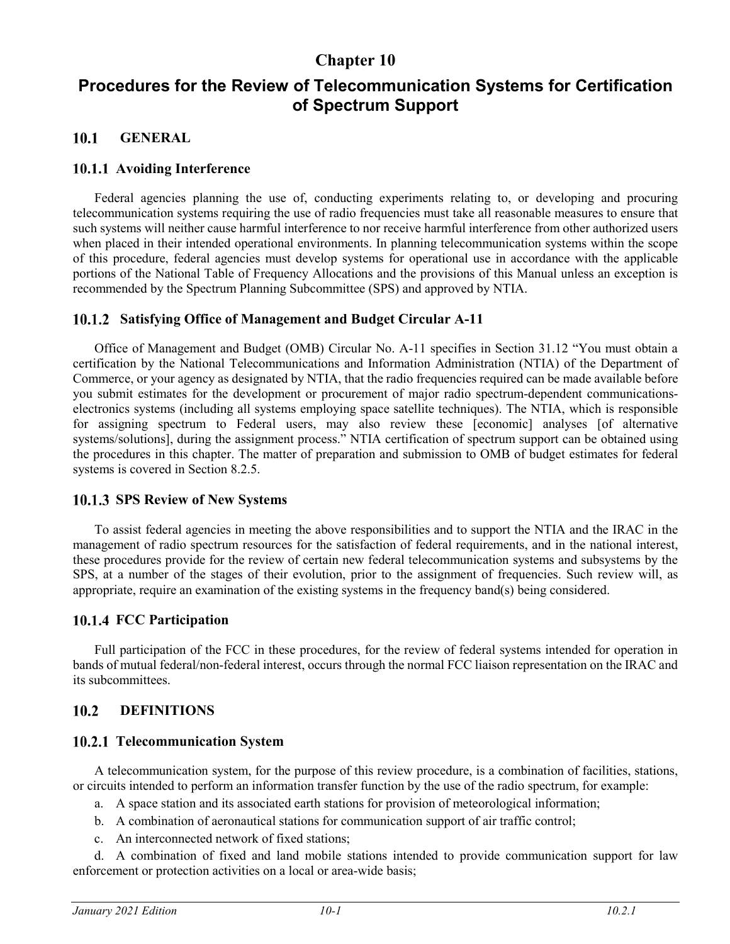# **Chapter 10**

# **Procedures for the Review of Telecommunication Systems for Certification of Spectrum Support**

#### $10.1$ **GENERAL**

## **10.1.1 Avoiding Interference**

Federal agencies planning the use of, conducting experiments relating to, or developing and procuring telecommunication systems requiring the use of radio frequencies must take all reasonable measures to ensure that such systems will neither cause harmful interference to nor receive harmful interference from other authorized users when placed in their intended operational environments. In planning telecommunication systems within the scope of this procedure, federal agencies must develop systems for operational use in accordance with the applicable portions of the National Table of Frequency Allocations and the provisions of this Manual unless an exception is recommended by the Spectrum Planning Subcommittee (SPS) and approved by NTIA.

## **Satisfying Office of Management and Budget Circular A-11**

Office of Management and Budget (OMB) Circular No. A-11 specifies in Section 31.12 "You must obtain a certification by the National Telecommunications and Information Administration (NTIA) of the Department of Commerce, or your agency as designated by NTIA, that the radio frequencies required can be made available before you submit estimates for the development or procurement of major radio spectrum-dependent communicationselectronics systems (including all systems employing space satellite techniques). The NTIA, which is responsible for assigning spectrum to Federal users, may also review these [economic] analyses [of alternative systems/solutions], during the assignment process." NTIA certification of spectrum support can be obtained using the procedures in this chapter. The matter of preparation and submission to OMB of budget estimates for federal systems is covered in Section 8.2.5.

## 10.1.3 SPS Review of New Systems

To assist federal agencies in meeting the above responsibilities and to support the NTIA and the IRAC in the management of radio spectrum resources for the satisfaction of federal requirements, and in the national interest, these procedures provide for the review of certain new federal telecommunication systems and subsystems by the SPS, at a number of the stages of their evolution, prior to the assignment of frequencies. Such review will, as appropriate, require an examination of the existing systems in the frequency band(s) being considered.

# **FCC Participation**

Full participation of the FCC in these procedures, for the review of federal systems intended for operation in bands of mutual federal/non-federal interest, occurs through the normal FCC liaison representation on the IRAC and its subcommittees.

#### $10.2$ **DEFINITIONS**

## **Telecommunication System**

A telecommunication system, for the purpose of this review procedure, is a combination of facilities, stations, or circuits intended to perform an information transfer function by the use of the radio spectrum, for example:

- a. A space station and its associated earth stations for provision of meteorological information;
- b. A combination of aeronautical stations for communication support of air traffic control;
- c. An interconnected network of fixed stations;

d. A combination of fixed and land mobile stations intended to provide communication support for law enforcement or protection activities on a local or area-wide basis;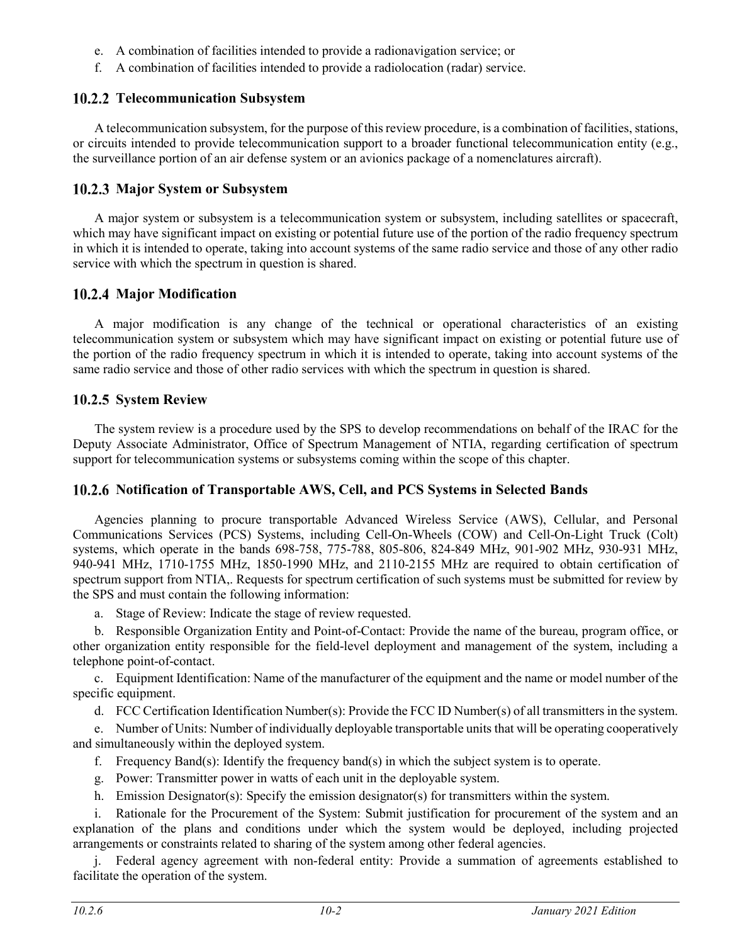- e. A combination of facilities intended to provide a radionavigation service; or
- f. A combination of facilities intended to provide a radiolocation (radar) service.

# **Telecommunication Subsystem**

A telecommunication subsystem, for the purpose of this review procedure, is a combination of facilities, stations, or circuits intended to provide telecommunication support to a broader functional telecommunication entity (e.g., the surveillance portion of an air defense system or an avionics package of a nomenclatures aircraft).

## **Major System or Subsystem**

A major system or subsystem is a telecommunication system or subsystem, including satellites or spacecraft, which may have significant impact on existing or potential future use of the portion of the radio frequency spectrum in which it is intended to operate, taking into account systems of the same radio service and those of any other radio service with which the spectrum in question is shared.

# **Major Modification**

A major modification is any change of the technical or operational characteristics of an existing telecommunication system or subsystem which may have significant impact on existing or potential future use of the portion of the radio frequency spectrum in which it is intended to operate, taking into account systems of the same radio service and those of other radio services with which the spectrum in question is shared.

# 10.2.5 System Review

The system review is a procedure used by the SPS to develop recommendations on behalf of the IRAC for the Deputy Associate Administrator, Office of Spectrum Management of NTIA, regarding certification of spectrum support for telecommunication systems or subsystems coming within the scope of this chapter.

# **Notification of Transportable AWS, Cell, and PCS Systems in Selected Bands**

Agencies planning to procure transportable Advanced Wireless Service (AWS), Cellular, and Personal Communications Services (PCS) Systems, including Cell-On-Wheels (COW) and Cell-On-Light Truck (Colt) systems, which operate in the bands 698-758, 775-788, 805-806, 824-849 MHz, 901-902 MHz, 930-931 MHz, 940-941 MHz, 1710-1755 MHz, 1850-1990 MHz, and 2110-2155 MHz are required to obtain certification of spectrum support from NTIA,. Requests for spectrum certification of such systems must be submitted for review by the SPS and must contain the following information:

a. Stage of Review: Indicate the stage of review requested.

b. Responsible Organization Entity and Point-of-Contact: Provide the name of the bureau, program office, or other organization entity responsible for the field-level deployment and management of the system, including a telephone point-of-contact.

c. Equipment Identification: Name of the manufacturer of the equipment and the name or model number of the specific equipment.

d. FCC Certification Identification Number(s): Provide the FCC ID Number(s) of all transmitters in the system.

e. Number of Units: Number of individually deployable transportable units that will be operating cooperatively and simultaneously within the deployed system.

- f. Frequency Band(s): Identify the frequency band(s) in which the subject system is to operate.
- g. Power: Transmitter power in watts of each unit in the deployable system.
- h. Emission Designator(s): Specify the emission designator(s) for transmitters within the system.

i. Rationale for the Procurement of the System: Submit justification for procurement of the system and an explanation of the plans and conditions under which the system would be deployed, including projected arrangements or constraints related to sharing of the system among other federal agencies.

j. Federal agency agreement with non-federal entity: Provide a summation of agreements established to facilitate the operation of the system.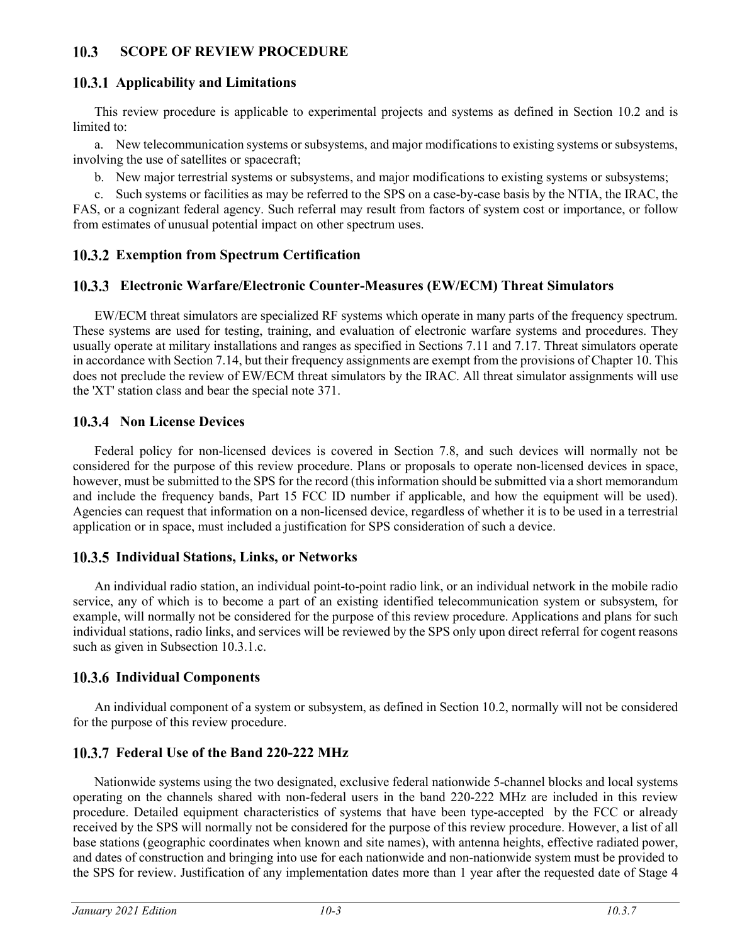#### 10.3 **SCOPE OF REVIEW PROCEDURE**

## **Applicability and Limitations**

This review procedure is applicable to experimental projects and systems as defined in Section 10.2 and is limited to:

a. New telecommunication systems or subsystems, and major modifications to existing systems or subsystems, involving the use of satellites or spacecraft;

b. New major terrestrial systems or subsystems, and major modifications to existing systems or subsystems;

c. Such systems or facilities as may be referred to the SPS on a case-by-case basis by the NTIA, the IRAC, the FAS, or a cognizant federal agency. Such referral may result from factors of system cost or importance, or follow from estimates of unusual potential impact on other spectrum uses.

## **Exemption from Spectrum Certification**

## **Electronic Warfare/Electronic Counter-Measures (EW/ECM) Threat Simulators**

EW/ECM threat simulators are specialized RF systems which operate in many parts of the frequency spectrum. These systems are used for testing, training, and evaluation of electronic warfare systems and procedures. They usually operate at military installations and ranges as specified in Sections 7.11 and 7.17. Threat simulators operate in accordance with Section 7.14, but their frequency assignments are exempt from the provisions of Chapter 10. This does not preclude the review of EW/ECM threat simulators by the IRAC. All threat simulator assignments will use the 'XT' station class and bear the special note 371.

## **10.3.4 Non License Devices**

Federal policy for non-licensed devices is covered in Section 7.8, and such devices will normally not be considered for the purpose of this review procedure. Plans or proposals to operate non-licensed devices in space, however, must be submitted to the SPS for the record (this information should be submitted via a short memorandum and include the frequency bands, Part 15 FCC ID number if applicable, and how the equipment will be used). Agencies can request that information on a non-licensed device, regardless of whether it is to be used in a terrestrial application or in space, must included a justification for SPS consideration of such a device.

## **Individual Stations, Links, or Networks**

An individual radio station, an individual point-to-point radio link, or an individual network in the mobile radio service, any of which is to become a part of an existing identified telecommunication system or subsystem, for example, will normally not be considered for the purpose of this review procedure. Applications and plans for such individual stations, radio links, and services will be reviewed by the SPS only upon direct referral for cogent reasons such as given in Subsection 10.3.1.c.

## **Individual Components**

An individual component of a system or subsystem, as defined in Section 10.2, normally will not be considered for the purpose of this review procedure.

# **Federal Use of the Band 220-222 MHz**

Nationwide systems using the two designated, exclusive federal nationwide 5-channel blocks and local systems operating on the channels shared with non-federal users in the band 220-222 MHz are included in this review procedure. Detailed equipment characteristics of systems that have been type-accepted by the FCC or already received by the SPS will normally not be considered for the purpose of this review procedure. However, a list of all base stations (geographic coordinates when known and site names), with antenna heights, effective radiated power, and dates of construction and bringing into use for each nationwide and non-nationwide system must be provided to the SPS for review. Justification of any implementation dates more than 1 year after the requested date of Stage 4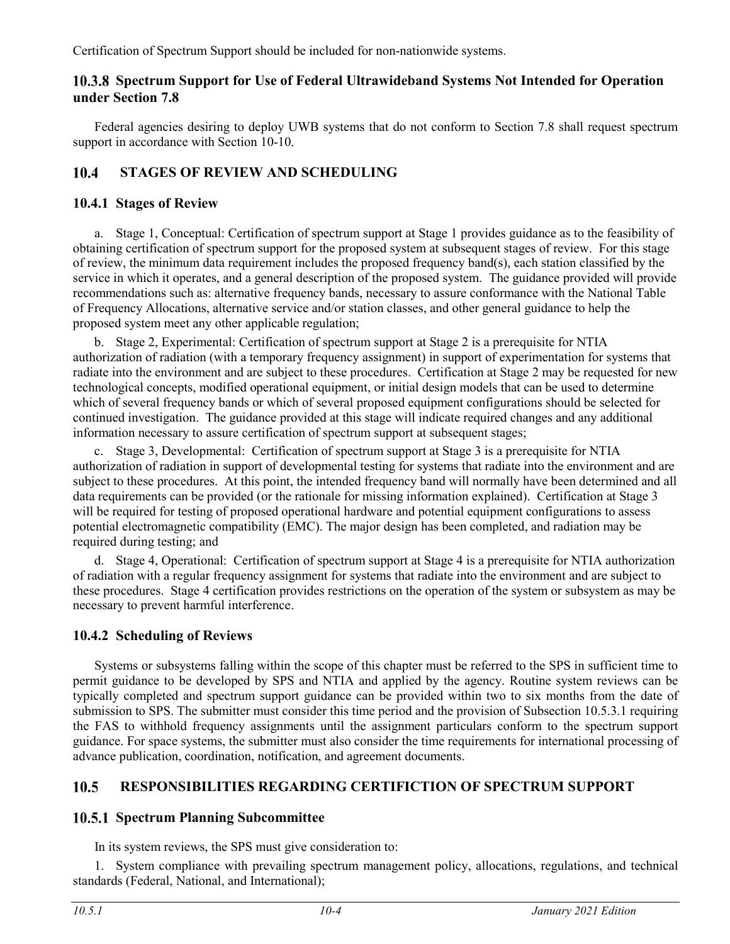Certification of Spectrum Support should be included for non-nationwide systems.

## **Spectrum Support for Use of Federal Ultrawideband Systems Not Intended for Operation under Section 7.8**

Federal agencies desiring to deploy UWB systems that do not conform to Section 7.8 shall request spectrum support in accordance with Section 10-10.

#### **STAGES OF REVIEW AND SCHEDULING**  $10.4$

# **10.4.1 Stages of Review**

a. Stage 1, Conceptual: Certification of spectrum support at Stage 1 provides guidance as to the feasibility of obtaining certification of spectrum support for the proposed system at subsequent stages of review. For this stage of review, the minimum data requirement includes the proposed frequency band(s), each station classified by the service in which it operates, and a general description of the proposed system. The guidance provided will provide recommendations such as: alternative frequency bands, necessary to assure conformance with the National Table of Frequency Allocations, alternative service and/or station classes, and other general guidance to help the proposed system meet any other applicable regulation;

b. Stage 2, Experimental: Certification of spectrum support at Stage 2 is a prerequisite for NTIA authorization of radiation (with a temporary frequency assignment) in support of experimentation for systems that radiate into the environment and are subject to these procedures. Certification at Stage 2 may be requested for new technological concepts, modified operational equipment, or initial design models that can be used to determine which of several frequency bands or which of several proposed equipment configurations should be selected for continued investigation. The guidance provided at this stage will indicate required changes and any additional information necessary to assure certification of spectrum support at subsequent stages;

c. Stage 3, Developmental: Certification of spectrum support at Stage 3 is a prerequisite for NTIA authorization of radiation in support of developmental testing for systems that radiate into the environment and are subject to these procedures. At this point, the intended frequency band will normally have been determined and all data requirements can be provided (or the rationale for missing information explained). Certification at Stage 3 will be required for testing of proposed operational hardware and potential equipment configurations to assess potential electromagnetic compatibility (EMC). The major design has been completed, and radiation may be required during testing; and

d. Stage 4, Operational: Certification of spectrum support at Stage 4 is a prerequisite for NTIA authorization of radiation with a regular frequency assignment for systems that radiate into the environment and are subject to these procedures. Stage 4 certification provides restrictions on the operation of the system or subsystem as may be necessary to prevent harmful interference.

# **10.4.2 Scheduling of Reviews**

Systems or subsystems falling within the scope of this chapter must be referred to the SPS in sufficient time to permit guidance to be developed by SPS and NTIA and applied by the agency. Routine system reviews can be typically completed and spectrum support guidance can be provided within two to six months from the date of submission to SPS. The submitter must consider this time period and the provision of Subsection 10.5.3.1 requiring the FAS to withhold frequency assignments until the assignment particulars conform to the spectrum support guidance. For space systems, the submitter must also consider the time requirements for international processing of advance publication, coordination, notification, and agreement documents.

#### $10.5$ **RESPONSIBILITIES REGARDING CERTIFICTION OF SPECTRUM SUPPORT**

# **10.5.1 Spectrum Planning Subcommittee**

In its system reviews, the SPS must give consideration to:

1. System compliance with prevailing spectrum management policy, allocations, regulations, and technical standards (Federal, National, and International);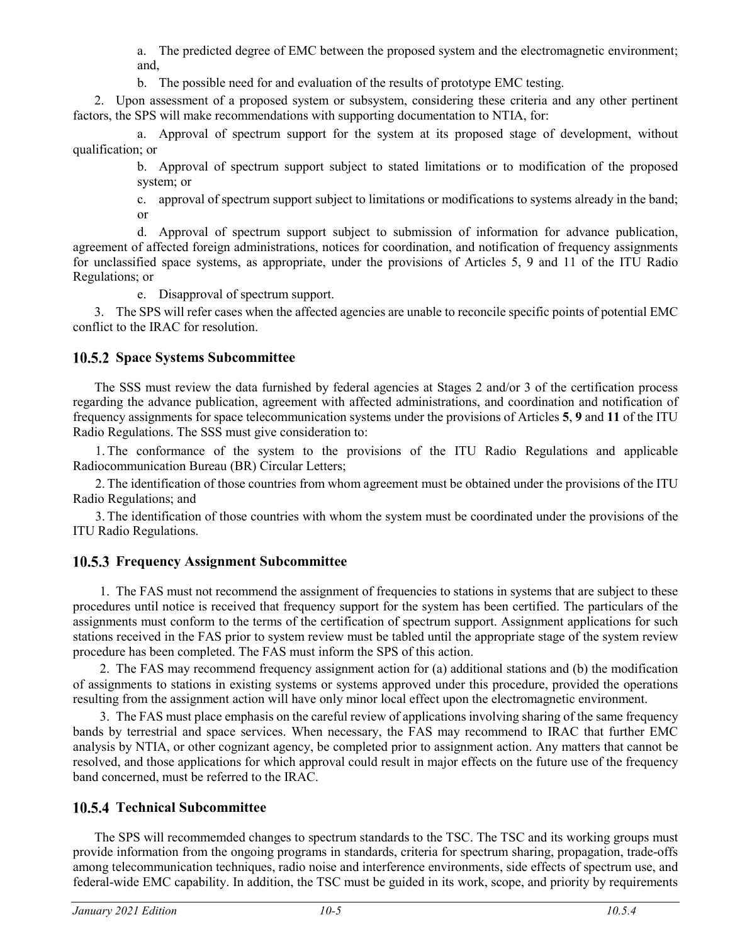a. The predicted degree of EMC between the proposed system and the electromagnetic environment; and,

b. The possible need for and evaluation of the results of prototype EMC testing.

2. Upon assessment of a proposed system or subsystem, considering these criteria and any other pertinent factors, the SPS will make recommendations with supporting documentation to NTIA, for:

a. Approval of spectrum support for the system at its proposed stage of development, without qualification; or

> b. Approval of spectrum support subject to stated limitations or to modification of the proposed system; or

> c. approval of spectrum support subject to limitations or modifications to systems already in the band; or

d. Approval of spectrum support subject to submission of information for advance publication, agreement of affected foreign administrations, notices for coordination, and notification of frequency assignments for unclassified space systems, as appropriate, under the provisions of Articles 5, 9 and 11 of the ITU Radio Regulations; or

e. Disapproval of spectrum support.

3. The SPS will refer cases when the affected agencies are unable to reconcile specific points of potential EMC conflict to the IRAC for resolution.

## **10.5.2 Space Systems Subcommittee**

The SSS must review the data furnished by federal agencies at Stages 2 and/or 3 of the certification process regarding the advance publication, agreement with affected administrations, and coordination and notification of frequency assignments for space telecommunication systems under the provisions of Articles **5**, **9** and **11** of the ITU Radio Regulations. The SSS must give consideration to:

1. The conformance of the system to the provisions of the ITU Radio Regulations and applicable Radiocommunication Bureau (BR) Circular Letters;

2. The identification of those countries from whom agreement must be obtained under the provisions of the ITU Radio Regulations; and

3. The identification of those countries with whom the system must be coordinated under the provisions of the ITU Radio Regulations.

# **Frequency Assignment Subcommittee**

1. The FAS must not recommend the assignment of frequencies to stations in systems that are subject to these procedures until notice is received that frequency support for the system has been certified. The particulars of the assignments must conform to the terms of the certification of spectrum support. Assignment applications for such stations received in the FAS prior to system review must be tabled until the appropriate stage of the system review procedure has been completed. The FAS must inform the SPS of this action.

2. The FAS may recommend frequency assignment action for (a) additional stations and (b) the modification of assignments to stations in existing systems or systems approved under this procedure, provided the operations resulting from the assignment action will have only minor local effect upon the electromagnetic environment.

3. The FAS must place emphasis on the careful review of applications involving sharing of the same frequency bands by terrestrial and space services. When necessary, the FAS may recommend to IRAC that further EMC analysis by NTIA, or other cognizant agency, be completed prior to assignment action. Any matters that cannot be resolved, and those applications for which approval could result in major effects on the future use of the frequency band concerned, must be referred to the IRAC.

# **Technical Subcommittee**

The SPS will recommemded changes to spectrum standards to the TSC. The TSC and its working groups must provide information from the ongoing programs in standards, criteria for spectrum sharing, propagation, trade-offs among telecommunication techniques, radio noise and interference environments, side effects of spectrum use, and federal-wide EMC capability. In addition, the TSC must be guided in its work, scope, and priority by requirements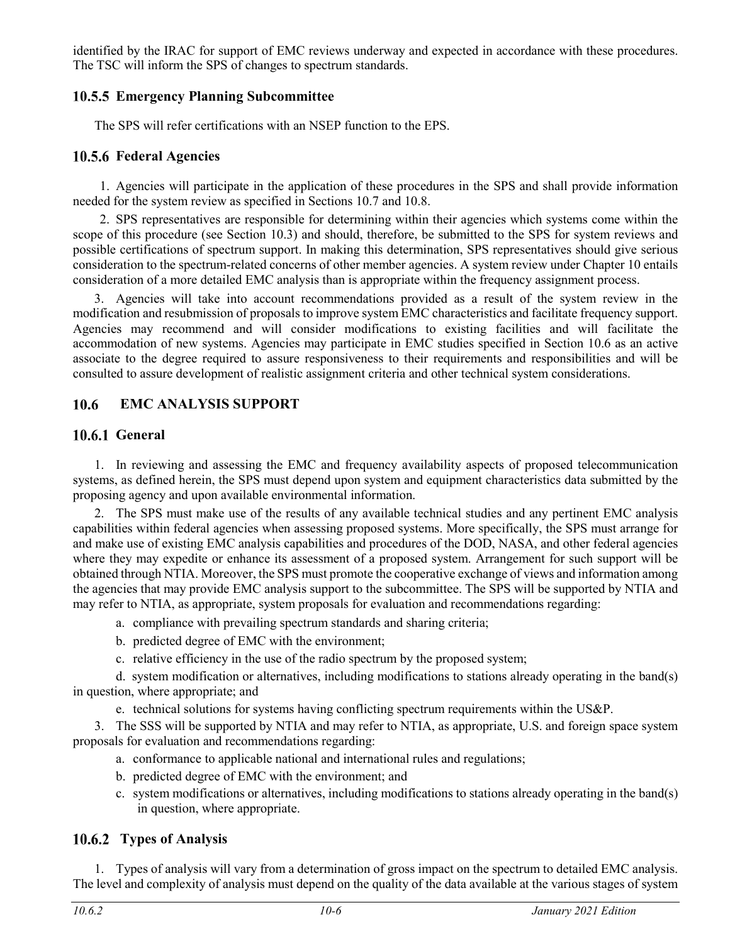identified by the IRAC for support of EMC reviews underway and expected in accordance with these procedures. The TSC will inform the SPS of changes to spectrum standards.

## **Emergency Planning Subcommittee**

The SPS will refer certifications with an NSEP function to the EPS.

## **Federal Agencies**

1. Agencies will participate in the application of these procedures in the SPS and shall provide information needed for the system review as specified in Sections 10.7 and 10.8.

2. SPS representatives are responsible for determining within their agencies which systems come within the scope of this procedure (see Section 10.3) and should, therefore, be submitted to the SPS for system reviews and possible certifications of spectrum support. In making this determination, SPS representatives should give serious consideration to the spectrum-related concerns of other member agencies. A system review under Chapter 10 entails consideration of a more detailed EMC analysis than is appropriate within the frequency assignment process.

3. Agencies will take into account recommendations provided as a result of the system review in the modification and resubmission of proposals to improve system EMC characteristics and facilitate frequency support. Agencies may recommend and will consider modifications to existing facilities and will facilitate the accommodation of new systems. Agencies may participate in EMC studies specified in Section 10.6 as an active associate to the degree required to assure responsiveness to their requirements and responsibilities and will be consulted to assure development of realistic assignment criteria and other technical system considerations.

#### 10.6 **EMC ANALYSIS SUPPORT**

## **10.6.1 General**

1. In reviewing and assessing the EMC and frequency availability aspects of proposed telecommunication systems, as defined herein, the SPS must depend upon system and equipment characteristics data submitted by the proposing agency and upon available environmental information.

2. The SPS must make use of the results of any available technical studies and any pertinent EMC analysis capabilities within federal agencies when assessing proposed systems. More specifically, the SPS must arrange for and make use of existing EMC analysis capabilities and procedures of the DOD, NASA, and other federal agencies where they may expedite or enhance its assessment of a proposed system. Arrangement for such support will be obtained through NTIA. Moreover, the SPS must promote the cooperative exchange of views and information among the agencies that may provide EMC analysis support to the subcommittee. The SPS will be supported by NTIA and may refer to NTIA, as appropriate, system proposals for evaluation and recommendations regarding:

a. compliance with prevailing spectrum standards and sharing criteria;

- b. predicted degree of EMC with the environment;
- c. relative efficiency in the use of the radio spectrum by the proposed system;

d. system modification or alternatives, including modifications to stations already operating in the band(s) in question, where appropriate; and

e. technical solutions for systems having conflicting spectrum requirements within the US&P.

3. The SSS will be supported by NTIA and may refer to NTIA, as appropriate, U.S. and foreign space system proposals for evaluation and recommendations regarding:

- a. conformance to applicable national and international rules and regulations;
- b. predicted degree of EMC with the environment; and
- c. system modifications or alternatives, including modifications to stations already operating in the band(s) in question, where appropriate.

# **Types of Analysis**

1. Types of analysis will vary from a determination of gross impact on the spectrum to detailed EMC analysis. The level and complexity of analysis must depend on the quality of the data available at the various stages of system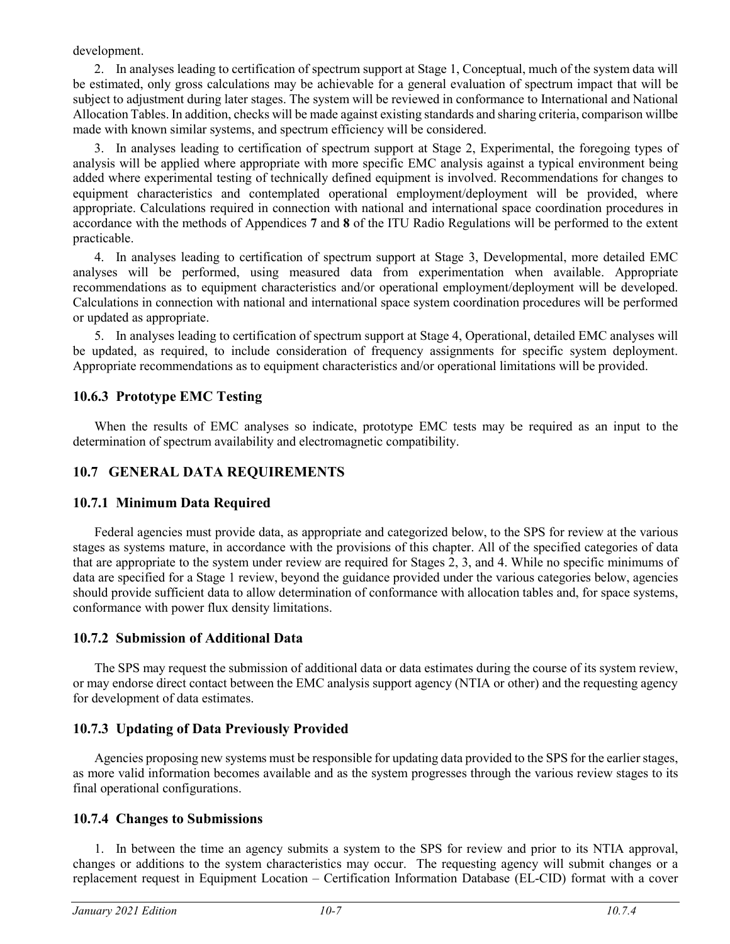development.

2. In analyses leading to certification of spectrum support at Stage 1, Conceptual, much of the system data will be estimated, only gross calculations may be achievable for a general evaluation of spectrum impact that will be subject to adjustment during later stages. The system will be reviewed in conformance to International and National Allocation Tables. In addition, checks will be made against existing standards and sharing criteria, comparison willbe made with known similar systems, and spectrum efficiency will be considered.

3. In analyses leading to certification of spectrum support at Stage 2, Experimental, the foregoing types of analysis will be applied where appropriate with more specific EMC analysis against a typical environment being added where experimental testing of technically defined equipment is involved. Recommendations for changes to equipment characteristics and contemplated operational employment/deployment will be provided, where appropriate. Calculations required in connection with national and international space coordination procedures in accordance with the methods of Appendices **7** and **8** of the ITU Radio Regulations will be performed to the extent practicable.

4. In analyses leading to certification of spectrum support at Stage 3, Developmental, more detailed EMC analyses will be performed, using measured data from experimentation when available. Appropriate recommendations as to equipment characteristics and/or operational employment/deployment will be developed. Calculations in connection with national and international space system coordination procedures will be performed or updated as appropriate.

5. In analyses leading to certification of spectrum support at Stage 4, Operational, detailed EMC analyses will be updated, as required, to include consideration of frequency assignments for specific system deployment. Appropriate recommendations as to equipment characteristics and/or operational limitations will be provided.

## **10.6.3 Prototype EMC Testing**

When the results of EMC analyses so indicate, prototype EMC tests may be required as an input to the determination of spectrum availability and electromagnetic compatibility.

# **10.7 GENERAL DATA REQUIREMENTS**

# **10.7.1 Minimum Data Required**

Federal agencies must provide data, as appropriate and categorized below, to the SPS for review at the various stages as systems mature, in accordance with the provisions of this chapter. All of the specified categories of data that are appropriate to the system under review are required for Stages 2, 3, and 4. While no specific minimums of data are specified for a Stage 1 review, beyond the guidance provided under the various categories below, agencies should provide sufficient data to allow determination of conformance with allocation tables and, for space systems, conformance with power flux density limitations.

## **10.7.2 Submission of Additional Data**

The SPS may request the submission of additional data or data estimates during the course of its system review, or may endorse direct contact between the EMC analysis support agency (NTIA or other) and the requesting agency for development of data estimates.

# **10.7.3 Updating of Data Previously Provided**

Agencies proposing new systems must be responsible for updating data provided to the SPS for the earlier stages, as more valid information becomes available and as the system progresses through the various review stages to its final operational configurations.

# **10.7.4 Changes to Submissions**

1. In between the time an agency submits a system to the SPS for review and prior to its NTIA approval, changes or additions to the system characteristics may occur. The requesting agency will submit changes or a replacement request in Equipment Location – Certification Information Database (EL-CID) format with a cover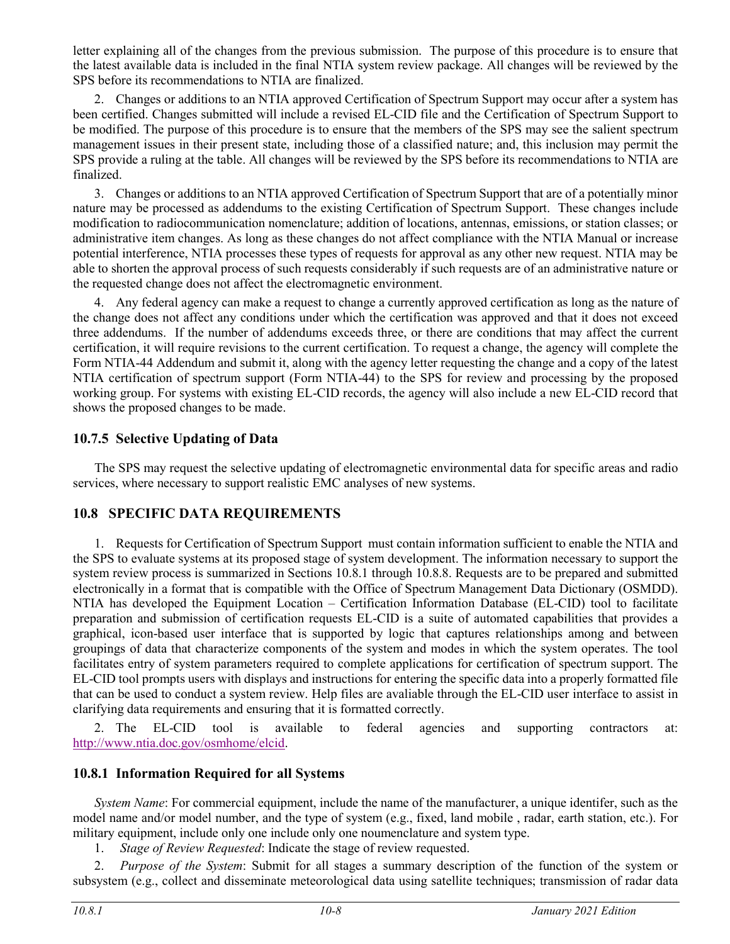letter explaining all of the changes from the previous submission. The purpose of this procedure is to ensure that the latest available data is included in the final NTIA system review package. All changes will be reviewed by the SPS before its recommendations to NTIA are finalized.

2. Changes or additions to an NTIA approved Certification of Spectrum Support may occur after a system has been certified. Changes submitted will include a revised EL-CID file and the Certification of Spectrum Support to be modified. The purpose of this procedure is to ensure that the members of the SPS may see the salient spectrum management issues in their present state, including those of a classified nature; and, this inclusion may permit the SPS provide a ruling at the table. All changes will be reviewed by the SPS before its recommendations to NTIA are finalized.

3. Changes or additions to an NTIA approved Certification of Spectrum Support that are of a potentially minor nature may be processed as addendums to the existing Certification of Spectrum Support. These changes include modification to radiocommunication nomenclature; addition of locations, antennas, emissions, or station classes; or administrative item changes. As long as these changes do not affect compliance with the NTIA Manual or increase potential interference, NTIA processes these types of requests for approval as any other new request. NTIA may be able to shorten the approval process of such requests considerably if such requests are of an administrative nature or the requested change does not affect the electromagnetic environment.

4. Any federal agency can make a request to change a currently approved certification as long as the nature of the change does not affect any conditions under which the certification was approved and that it does not exceed three addendums. If the number of addendums exceeds three, or there are conditions that may affect the current certification, it will require revisions to the current certification. To request a change, the agency will complete the Form NTIA-44 Addendum and submit it, along with the agency letter requesting the change and a copy of the latest NTIA certification of spectrum support (Form NTIA-44) to the SPS for review and processing by the proposed working group. For systems with existing EL-CID records, the agency will also include a new EL-CID record that shows the proposed changes to be made.

## **10.7.5 Selective Updating of Data**

The SPS may request the selective updating of electromagnetic environmental data for specific areas and radio services, where necessary to support realistic EMC analyses of new systems.

# **10.8 SPECIFIC DATA REQUIREMENTS**

1. Requests for Certification of Spectrum Support must contain information sufficient to enable the NTIA and the SPS to evaluate systems at its proposed stage of system development. The information necessary to support the system review process is summarized in Sections 10.8.1 through 10.8.8. Requests are to be prepared and submitted electronically in a format that is compatible with the Office of Spectrum Management Data Dictionary (OSMDD). NTIA has developed the Equipment Location – Certification Information Database (EL-CID) tool to facilitate preparation and submission of certification requests EL-CID is a suite of automated capabilities that provides a graphical, icon-based user interface that is supported by logic that captures relationships among and between groupings of data that characterize components of the system and modes in which the system operates. The tool facilitates entry of system parameters required to complete applications for certification of spectrum support. The EL-CID tool prompts users with displays and instructions for entering the specific data into a properly formatted file that can be used to conduct a system review. Help files are avaliable through the EL-CID user interface to assist in clarifying data requirements and ensuring that it is formatted correctly.

2. The EL-CID tool is available to federal agencies and supporting contractors at: [http://www.ntia.doc.gov/osmhome/elcid.](http://www.ntia.doc.gov/osmhome/elcid)

## **10.8.1 Information Required for all Systems**

*System Name*: For commercial equipment, include the name of the manufacturer, a unique identifer, such as the model name and/or model number, and the type of system (e.g., fixed, land mobile , radar, earth station, etc.). For military equipment, include only one include only one noumenclature and system type.

1. *Stage of Review Requested*: Indicate the stage of review requested.

2. *Purpose of the System*: Submit for all stages a summary description of the function of the system or subsystem (e.g., collect and disseminate meteorological data using satellite techniques; transmission of radar data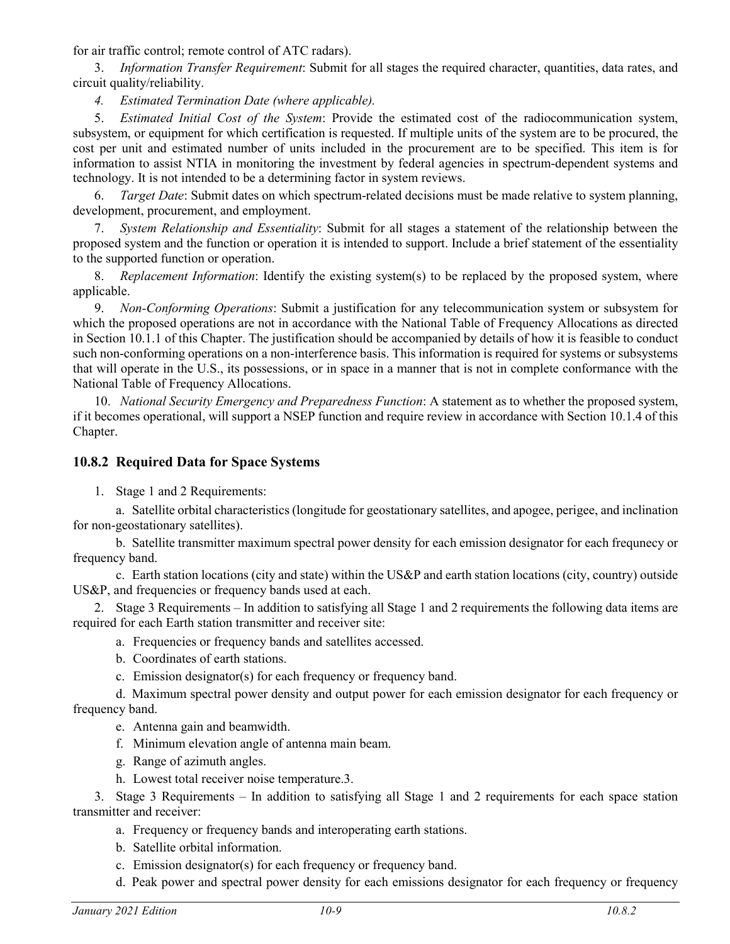for air traffic control; remote control of ATC radars).

3. *Information Transfer Requirement*: Submit for all stages the required character, quantities, data rates, and circuit quality/reliability.

*4. Estimated Termination Date (where applicable).*

5. *Estimated Initial Cost of the System*: Provide the estimated cost of the radiocommunication system, subsystem, or equipment for which certification is requested. If multiple units of the system are to be procured, the cost per unit and estimated number of units included in the procurement are to be specified. This item is for information to assist NTIA in monitoring the investment by federal agencies in spectrum-dependent systems and technology. It is not intended to be a determining factor in system reviews.

6. *Target Date*: Submit dates on which spectrum-related decisions must be made relative to system planning, development, procurement, and employment.

7. *System Relationship and Essentiality*: Submit for all stages a statement of the relationship between the proposed system and the function or operation it is intended to support. Include a brief statement of the essentiality to the supported function or operation.

8. *Replacement Information*: Identify the existing system(s) to be replaced by the proposed system, where applicable.

9. *Non-Conforming Operations*: Submit a justification for any telecommunication system or subsystem for which the proposed operations are not in accordance with the National Table of Frequency Allocations as directed in Section 10.1.1 of this Chapter. The justification should be accompanied by details of how it is feasible to conduct such non-conforming operations on a non-interference basis. This information is required for systems or subsystems that will operate in the U.S., its possessions, or in space in a manner that is not in complete conformance with the National Table of Frequency Allocations.

10. *National Security Emergency and Preparedness Function*: A statement as to whether the proposed system, if it becomes operational, will support a NSEP function and require review in accordance with Section 10.1.4 of this Chapter.

# **10.8.2 Required Data for Space Systems**

1. Stage 1 and 2 Requirements:

a. Satellite orbital characteristics (longitude for geostationary satellites, and apogee, perigee, and inclination for non-geostationary satellites).

b. Satellite transmitter maximum spectral power density for each emission designator for each frequnecy or frequency band.

c. Earth station locations (city and state) within the US&P and earth station locations (city, country) outside US&P, and frequencies or frequency bands used at each.

2. Stage 3 Requirements – In addition to satisfying all Stage 1 and 2 requirements the following data items are required for each Earth station transmitter and receiver site:

a. Frequencies or frequency bands and satellites accessed.

b. Coordinates of earth stations.

c. Emission designator(s) for each frequency or frequency band.

d. Maximum spectral power density and output power for each emission designator for each frequency or frequency band.

e. Antenna gain and beamwidth.

- f. Minimum elevation angle of antenna main beam.
- g. Range of azimuth angles.
- h. Lowest total receiver noise temperature.3.

3. Stage 3 Requirements – In addition to satisfying all Stage 1 and 2 requirements for each space station transmitter and receiver:

- a. Frequency or frequency bands and interoperating earth stations.
- b. Satellite orbital information.
- c. Emission designator(s) for each frequency or frequency band.
- d. Peak power and spectral power density for each emissions designator for each frequency or frequency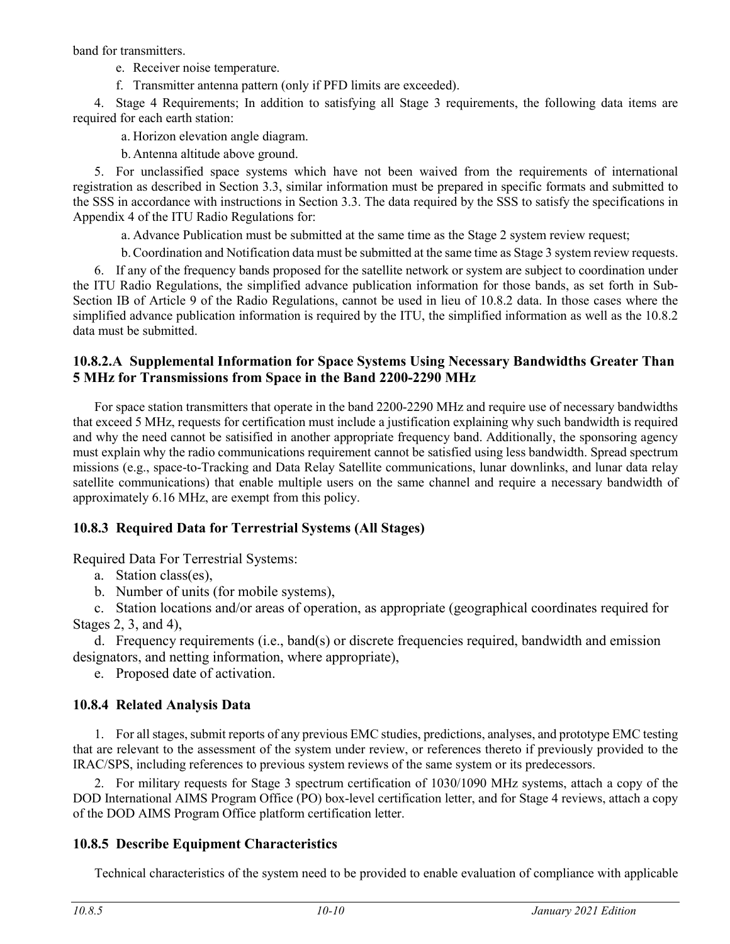band for transmitters.

e. Receiver noise temperature.

f. Transmitter antenna pattern (only if PFD limits are exceeded).

4. Stage 4 Requirements; In addition to satisfying all Stage 3 requirements, the following data items are required for each earth station:

a. Horizon elevation angle diagram.

b.Antenna altitude above ground.

5. For unclassified space systems which have not been waived from the requirements of international registration as described in Section 3.3, similar information must be prepared in specific formats and submitted to the SSS in accordance with instructions in Section 3.3. The data required by the SSS to satisfy the specifications in Appendix 4 of the ITU Radio Regulations for:

a. Advance Publication must be submitted at the same time as the Stage 2 system review request;

b.Coordination and Notification data must be submitted at the same time as Stage 3 system review requests.

6. If any of the frequency bands proposed for the satellite network or system are subject to coordination under the ITU Radio Regulations, the simplified advance publication information for those bands, as set forth in Sub-Section IB of Article 9 of the Radio Regulations, cannot be used in lieu of 10.8.2 data. In those cases where the simplified advance publication information is required by the ITU, the simplified information as well as the 10.8.2 data must be submitted.

## **10.8.2.A Supplemental Information for Space Systems Using Necessary Bandwidths Greater Than 5 MHz for Transmissions from Space in the Band 2200-2290 MHz**

For space station transmitters that operate in the band 2200-2290 MHz and require use of necessary bandwidths that exceed 5 MHz, requests for certification must include a justification explaining why such bandwidth is required and why the need cannot be satisified in another appropriate frequency band. Additionally, the sponsoring agency must explain why the radio communications requirement cannot be satisfied using less bandwidth. Spread spectrum missions (e.g., space-to-Tracking and Data Relay Satellite communications, lunar downlinks, and lunar data relay satellite communications) that enable multiple users on the same channel and require a necessary bandwidth of approximately 6.16 MHz, are exempt from this policy.

# **10.8.3 Required Data for Terrestrial Systems (All Stages)**

Required Data For Terrestrial Systems:

- a. Station class(es),
- b. Number of units (for mobile systems),

c. Station locations and/or areas of operation, as appropriate (geographical coordinates required for Stages 2, 3, and 4),

d. Frequency requirements (i.e., band(s) or discrete frequencies required, bandwidth and emission designators, and netting information, where appropriate),

e. Proposed date of activation.

# **10.8.4 Related Analysis Data**

1. For all stages, submit reports of any previous EMC studies, predictions, analyses, and prototype EMC testing that are relevant to the assessment of the system under review, or references thereto if previously provided to the IRAC/SPS, including references to previous system reviews of the same system or its predecessors.

2. For military requests for Stage 3 spectrum certification of 1030/1090 MHz systems, attach a copy of the DOD International AIMS Program Office (PO) box-level certification letter, and for Stage 4 reviews, attach a copy of the DOD AIMS Program Office platform certification letter.

# **10.8.5 Describe Equipment Characteristics**

Technical characteristics of the system need to be provided to enable evaluation of compliance with applicable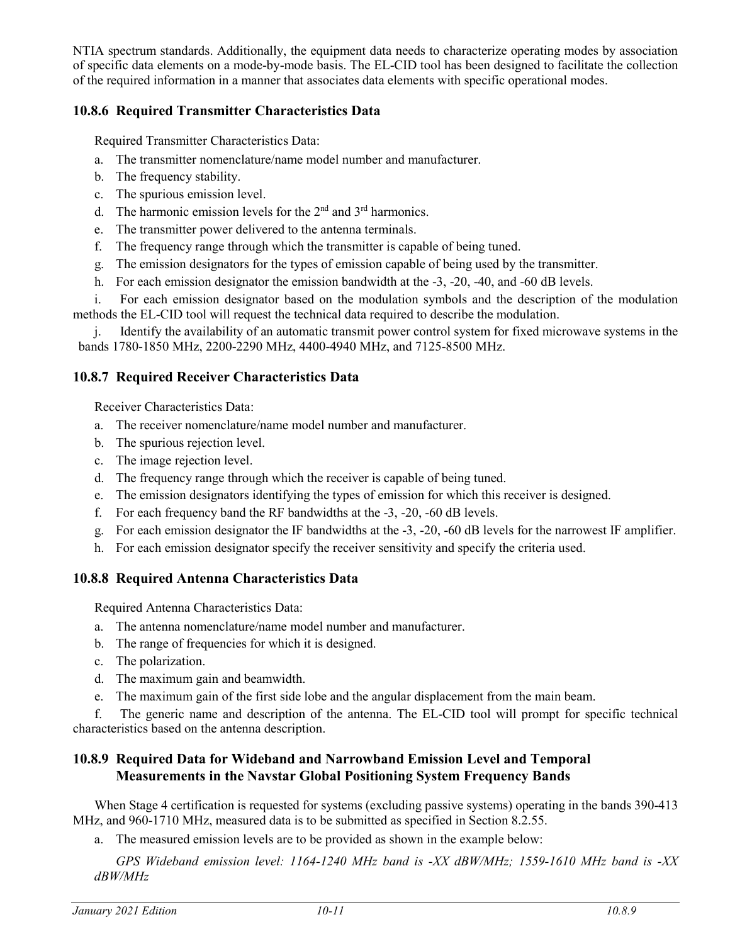NTIA spectrum standards. Additionally, the equipment data needs to characterize operating modes by association of specific data elements on a mode-by-mode basis. The EL-CID tool has been designed to facilitate the collection of the required information in a manner that associates data elements with specific operational modes.

## **10.8.6 Required Transmitter Characteristics Data**

Required Transmitter Characteristics Data:

- a. The transmitter nomenclature/name model number and manufacturer.
- b. The frequency stability.
- c. The spurious emission level.
- d. The harmonic emission levels for the  $2<sup>nd</sup>$  and  $3<sup>rd</sup>$  harmonics.
- e. The transmitter power delivered to the antenna terminals.
- f. The frequency range through which the transmitter is capable of being tuned.
- g. The emission designators for the types of emission capable of being used by the transmitter.
- h. For each emission designator the emission bandwidth at the -3, -20, -40, and -60 dB levels.

i. For each emission designator based on the modulation symbols and the description of the modulation methods the EL-CID tool will request the technical data required to describe the modulation.

j. Identify the availability of an automatic transmit power control system for fixed microwave systems in the bands 1780-1850 MHz, 2200-2290 MHz, 4400-4940 MHz, and 7125-8500 MHz.

## **10.8.7 Required Receiver Characteristics Data**

Receiver Characteristics Data:

- a. The receiver nomenclature/name model number and manufacturer.
- b. The spurious rejection level.
- c. The image rejection level.
- d. The frequency range through which the receiver is capable of being tuned.
- e. The emission designators identifying the types of emission for which this receiver is designed.
- f. For each frequency band the RF bandwidths at the -3, -20, -60 dB levels.
- g. For each emission designator the IF bandwidths at the -3, -20, -60 dB levels for the narrowest IF amplifier.
- h. For each emission designator specify the receiver sensitivity and specify the criteria used.

## **10.8.8 Required Antenna Characteristics Data**

Required Antenna Characteristics Data:

- a. The antenna nomenclature/name model number and manufacturer.
- b. The range of frequencies for which it is designed.
- c. The polarization.
- d. The maximum gain and beamwidth.
- e. The maximum gain of the first side lobe and the angular displacement from the main beam.

f. The generic name and description of the antenna. The EL-CID tool will prompt for specific technical characteristics based on the antenna description.

## **10.8.9 Required Data for Wideband and Narrowband Emission Level and Temporal Measurements in the Navstar Global Positioning System Frequency Bands**

When Stage 4 certification is requested for systems (excluding passive systems) operating in the bands 390-413 MHz, and 960-1710 MHz, measured data is to be submitted as specified in Section 8.2.55.

a. The measured emission levels are to be provided as shown in the example below:

*GPS Wideband emission level: 1164-1240 MHz band is -XX dBW/MHz; 1559-1610 MHz band is -XX dBW/MHz*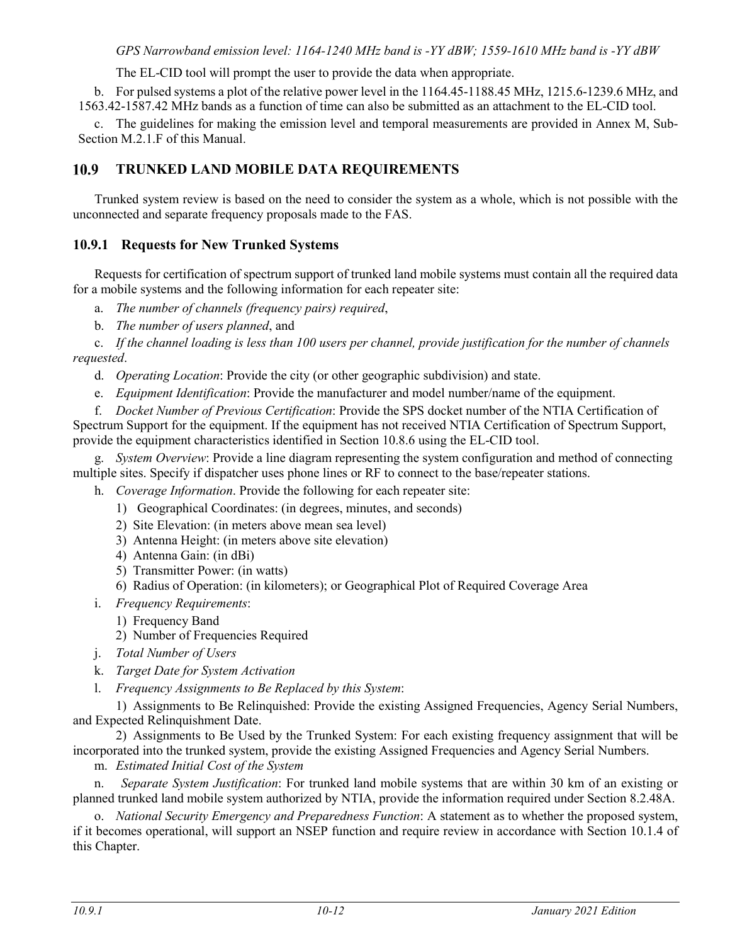### *GPS Narrowband emission level: 1164-1240 MHz band is -YY dBW; 1559-1610 MHz band is -YY dBW*

The EL-CID tool will prompt the user to provide the data when appropriate.

b. For pulsed systems a plot of the relative power level in the 1164.45-1188.45 MHz, 1215.6-1239.6 MHz, and 1563.42-1587.42 MHz bands as a function of time can also be submitted as an attachment to the EL-CID tool.

c. The guidelines for making the emission level and temporal measurements are provided in Annex M, Sub-Section M.2.1.F of this Manual.

#### 10.9 **TRUNKED LAND MOBILE DATA REQUIREMENTS**

Trunked system review is based on the need to consider the system as a whole, which is not possible with the unconnected and separate frequency proposals made to the FAS.

## **10.9.1 Requests for New Trunked Systems**

Requests for certification of spectrum support of trunked land mobile systems must contain all the required data for a mobile systems and the following information for each repeater site:

a. *The number of channels (frequency pairs) required*,

b. *The number of users planned*, and

c. *If the channel loading is less than 100 users per channel, provide justification for the number of channels requested*.

d. *Operating Location*: Provide the city (or other geographic subdivision) and state.

e. *Equipment Identification*: Provide the manufacturer and model number/name of the equipment.

f. *Docket Number of Previous Certification*: Provide the SPS docket number of the NTIA Certification of Spectrum Support for the equipment. If the equipment has not received NTIA Certification of Spectrum Support, provide the equipment characteristics identified in Section 10.8.6 using the EL-CID tool.

g. *System Overview*: Provide a line diagram representing the system configuration and method of connecting multiple sites. Specify if dispatcher uses phone lines or RF to connect to the base/repeater stations.

h. *Coverage Information*. Provide the following for each repeater site:

- 1) Geographical Coordinates: (in degrees, minutes, and seconds)
- 2) Site Elevation: (in meters above mean sea level)
- 3) Antenna Height: (in meters above site elevation)
- 4) Antenna Gain: (in dBi)
- 5) Transmitter Power: (in watts)

6) Radius of Operation: (in kilometers); or Geographical Plot of Required Coverage Area

- i. *Frequency Requirements*:
	- 1) Frequency Band
	- 2) Number of Frequencies Required
- j. *Total Number of Users*
- k. *Target Date for System Activation*
- l. *Frequency Assignments to Be Replaced by this System*:

1) Assignments to Be Relinquished: Provide the existing Assigned Frequencies, Agency Serial Numbers, and Expected Relinquishment Date.

2) Assignments to Be Used by the Trunked System: For each existing frequency assignment that will be incorporated into the trunked system, provide the existing Assigned Frequencies and Agency Serial Numbers.

m. *Estimated Initial Cost of the System*

n. *Separate System Justification*: For trunked land mobile systems that are within 30 km of an existing or planned trunked land mobile system authorized by NTIA, provide the information required under Section 8.2.48A.

o. *National Security Emergency and Preparedness Function*: A statement as to whether the proposed system, if it becomes operational, will support an NSEP function and require review in accordance with Section 10.1.4 of this Chapter.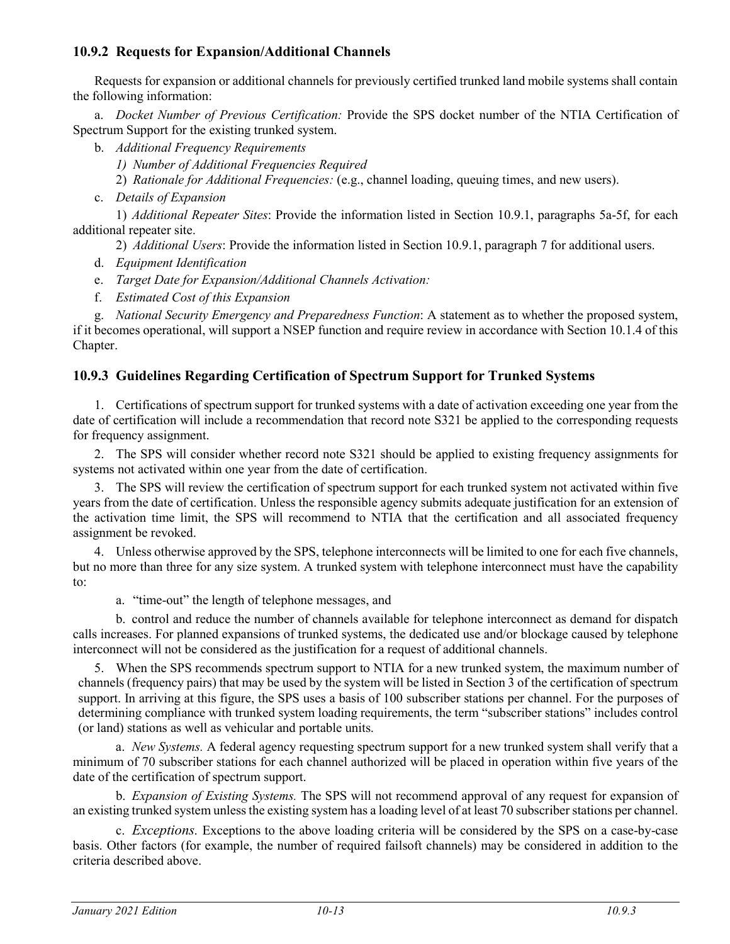## **10.9.2 Requests for Expansion/Additional Channels**

Requests for expansion or additional channels for previously certified trunked land mobile systems shall contain the following information:

a. *Docket Number of Previous Certification:* Provide the SPS docket number of the NTIA Certification of Spectrum Support for the existing trunked system.

- b. *Additional Frequency Requirements*
	- *1) Number of Additional Frequencies Required*

2) *Rationale for Additional Frequencies:* (e.g., channel loading, queuing times, and new users).

c. *Details of Expansion*

1) *Additional Repeater Sites*: Provide the information listed in Section 10.9.1, paragraphs 5a-5f, for each additional repeater site.

2) *Additional Users*: Provide the information listed in Section 10.9.1, paragraph 7 for additional users.

- d. *Equipment Identification*
- e. *Target Date for Expansion/Additional Channels Activation:*
- f. *Estimated Cost of this Expansion*

g. *National Security Emergency and Preparedness Function*: A statement as to whether the proposed system, if it becomes operational, will support a NSEP function and require review in accordance with Section 10.1.4 of this Chapter.

## **10.9.3 Guidelines Regarding Certification of Spectrum Support for Trunked Systems**

1. Certifications of spectrum support for trunked systems with a date of activation exceeding one year from the date of certification will include a recommendation that record note S321 be applied to the corresponding requests for frequency assignment.

2. The SPS will consider whether record note S321 should be applied to existing frequency assignments for systems not activated within one year from the date of certification.

3. The SPS will review the certification of spectrum support for each trunked system not activated within five years from the date of certification. Unless the responsible agency submits adequate justification for an extension of the activation time limit, the SPS will recommend to NTIA that the certification and all associated frequency assignment be revoked.

4. Unless otherwise approved by the SPS, telephone interconnects will be limited to one for each five channels, but no more than three for any size system. A trunked system with telephone interconnect must have the capability to:

a. "time-out" the length of telephone messages, and

b. control and reduce the number of channels available for telephone interconnect as demand for dispatch calls increases. For planned expansions of trunked systems, the dedicated use and/or blockage caused by telephone interconnect will not be considered as the justification for a request of additional channels.

5. When the SPS recommends spectrum support to NTIA for a new trunked system, the maximum number of channels (frequency pairs) that may be used by the system will be listed in Section 3 of the certification of spectrum support. In arriving at this figure, the SPS uses a basis of 100 subscriber stations per channel. For the purposes of determining compliance with trunked system loading requirements, the term "subscriber stations" includes control (or land) stations as well as vehicular and portable units.

a. *New Systems.* A federal agency requesting spectrum support for a new trunked system shall verify that a minimum of 70 subscriber stations for each channel authorized will be placed in operation within five years of the date of the certification of spectrum support.

b. *Expansion of Existing Systems.* The SPS will not recommend approval of any request for expansion of an existing trunked system unless the existing system has a loading level of at least 70 subscriber stations per channel.

c. *Exceptions.* Exceptions to the above loading criteria will be considered by the SPS on a case-by-case basis. Other factors (for example, the number of required failsoft channels) may be considered in addition to the criteria described above.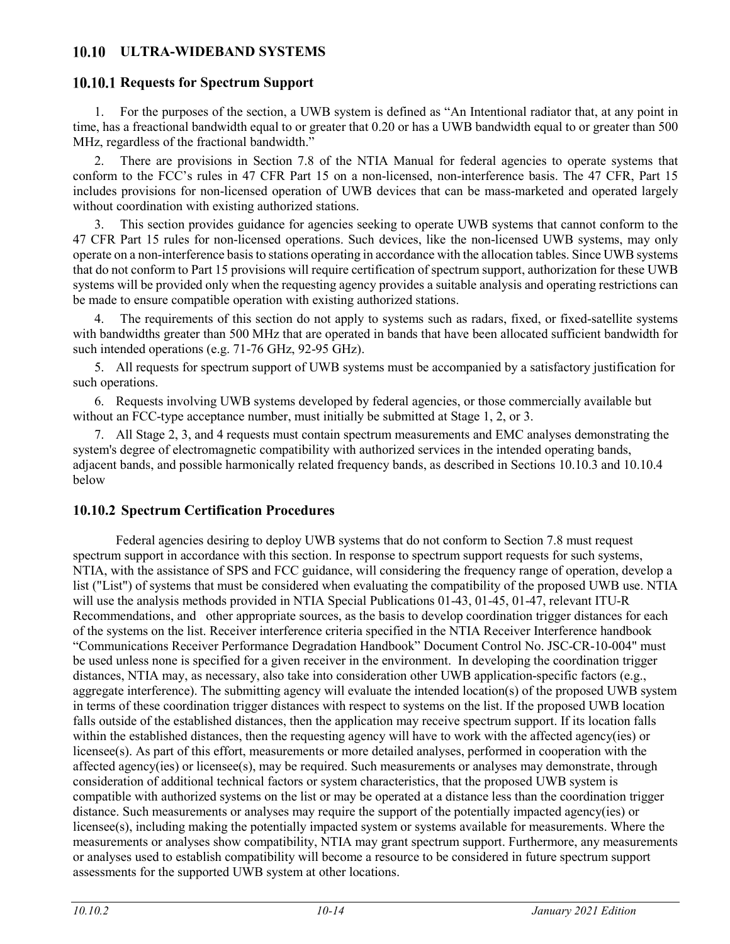## **ULTRA-WIDEBAND SYSTEMS**

## **10.10.1 Requests for Spectrum Support**

1. For the purposes of the section, a UWB system is defined as "An Intentional radiator that, at any point in time, has a freactional bandwidth equal to or greater that 0.20 or has a UWB bandwidth equal to or greater than 500 MHz, regardless of the fractional bandwidth."

2. There are provisions in Section 7.8 of the NTIA Manual for federal agencies to operate systems that conform to the FCC's rules in 47 CFR Part 15 on a non-licensed, non-interference basis. The 47 CFR, Part 15 includes provisions for non-licensed operation of UWB devices that can be mass-marketed and operated largely without coordination with existing authorized stations.

3. This section provides guidance for agencies seeking to operate UWB systems that cannot conform to the 47 CFR Part 15 rules for non-licensed operations. Such devices, like the non-licensed UWB systems, may only operate on a non-interference basis to stations operating in accordance with the allocation tables. Since UWB systems that do not conform to Part 15 provisions will require certification of spectrum support, authorization for these UWB systems will be provided only when the requesting agency provides a suitable analysis and operating restrictions can be made to ensure compatible operation with existing authorized stations.

4. The requirements of this section do not apply to systems such as radars, fixed, or fixed-satellite systems with bandwidths greater than 500 MHz that are operated in bands that have been allocated sufficient bandwidth for such intended operations (e.g. 71-76 GHz, 92-95 GHz).

5. All requests for spectrum support of UWB systems must be accompanied by a satisfactory justification for such operations.

6. Requests involving UWB systems developed by federal agencies, or those commercially available but without an FCC-type acceptance number, must initially be submitted at Stage 1, 2, or 3.

7. All Stage 2, 3, and 4 requests must contain spectrum measurements and EMC analyses demonstrating the system's degree of electromagnetic compatibility with authorized services in the intended operating bands, adjacent bands, and possible harmonically related frequency bands, as described in Sections 10.10.3 and 10.10.4 below

## **10.10.2 Spectrum Certification Procedures**

Federal agencies desiring to deploy UWB systems that do not conform to Section 7.8 must request spectrum support in accordance with this section. In response to spectrum support requests for such systems, NTIA, with the assistance of SPS and FCC guidance, will considering the frequency range of operation, develop a list ("List") of systems that must be considered when evaluating the compatibility of the proposed UWB use. NTIA will use the analysis methods provided in NTIA Special Publications 01-43, 01-45, 01-47, relevant ITU-R Recommendations, and other appropriate sources, as the basis to develop coordination trigger distances for each of the systems on the list. Receiver interference criteria specified in the NTIA Receiver Interference handbook "Communications Receiver Performance Degradation Handbook" Document Control No. JSC-CR-10-004" must be used unless none is specified for a given receiver in the environment. In developing the coordination trigger distances, NTIA may, as necessary, also take into consideration other UWB application-specific factors (e.g., aggregate interference). The submitting agency will evaluate the intended location(s) of the proposed UWB system in terms of these coordination trigger distances with respect to systems on the list. If the proposed UWB location falls outside of the established distances, then the application may receive spectrum support. If its location falls within the established distances, then the requesting agency will have to work with the affected agency(ies) or licensee(s). As part of this effort, measurements or more detailed analyses, performed in cooperation with the affected agency(ies) or licensee(s), may be required. Such measurements or analyses may demonstrate, through consideration of additional technical factors or system characteristics, that the proposed UWB system is compatible with authorized systems on the list or may be operated at a distance less than the coordination trigger distance. Such measurements or analyses may require the support of the potentially impacted agency(ies) or licensee(s), including making the potentially impacted system or systems available for measurements. Where the measurements or analyses show compatibility, NTIA may grant spectrum support. Furthermore, any measurements or analyses used to establish compatibility will become a resource to be considered in future spectrum support assessments for the supported UWB system at other locations.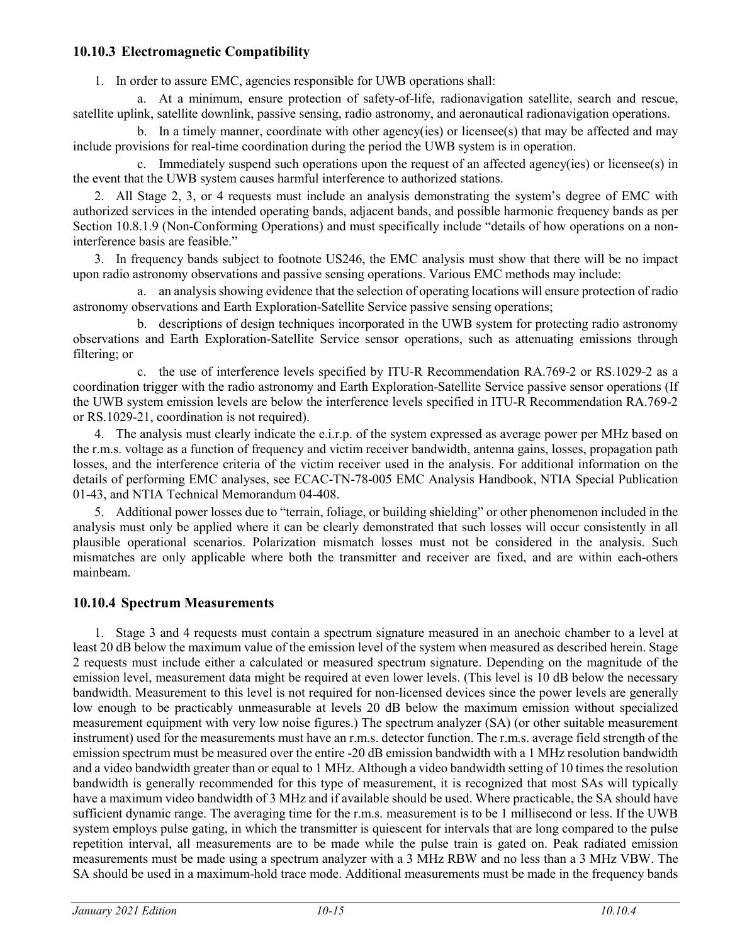## **10.10.3 Electromagnetic Compatibility**

1. In order to assure EMC, agencies responsible for UWB operations shall:

a. At a minimum, ensure protection of safety-of-life, radionavigation satellite, search and rescue, satellite uplink, satellite downlink, passive sensing, radio astronomy, and aeronautical radionavigation operations.

b. In a timely manner, coordinate with other agency(ies) or licensee(s) that may be affected and may include provisions for real-time coordination during the period the UWB system is in operation.

c. Immediately suspend such operations upon the request of an affected agency(ies) or licensee(s) in the event that the UWB system causes harmful interference to authorized stations.

2. All Stage 2, 3, or 4 requests must include an analysis demonstrating the system's degree of EMC with authorized services in the intended operating bands, adjacent bands, and possible harmonic frequency bands as per Section 10.8.1.9 (Non-Conforming Operations) and must specifically include "details of how operations on a noninterference basis are feasible."

3. In frequency bands subject to footnote US246, the EMC analysis must show that there will be no impact upon radio astronomy observations and passive sensing operations. Various EMC methods may include:

a. an analysis showing evidence that the selection of operating locations will ensure protection of radio astronomy observations and Earth Exploration-Satellite Service passive sensing operations;

b. descriptions of design techniques incorporated in the UWB system for protecting radio astronomy observations and Earth Exploration-Satellite Service sensor operations, such as attenuating emissions through filtering; or

c. the use of interference levels specified by ITU-R Recommendation RA.769-2 or RS.1029-2 as a coordination trigger with the radio astronomy and Earth Exploration-Satellite Service passive sensor operations (If the UWB system emission levels are below the interference levels specified in ITU-R Recommendation RA.769-2 or RS.1029-21, coordination is not required).

4. The analysis must clearly indicate the e.i.r.p. of the system expressed as average power per MHz based on the r.m.s. voltage as a function of frequency and victim receiver bandwidth, antenna gains, losses, propagation path losses, and the interference criteria of the victim receiver used in the analysis. For additional information on the details of performing EMC analyses, see ECAC-TN-78-005 EMC Analysis Handbook, NTIA Special Publication 01-43, and NTIA Technical Memorandum 04-408.

5. Additional power losses due to "terrain, foliage, or building shielding" or other phenomenon included in the analysis must only be applied where it can be clearly demonstrated that such losses will occur consistently in all plausible operational scenarios. Polarization mismatch losses must not be considered in the analysis. Such mismatches are only applicable where both the transmitter and receiver are fixed, and are within each-others mainbeam.

## **10.10.4 Spectrum Measurements**

1. Stage 3 and 4 requests must contain a spectrum signature measured in an anechoic chamber to a level at least 20 dB below the maximum value of the emission level of the system when measured as described herein. Stage 2 requests must include either a calculated or measured spectrum signature. Depending on the magnitude of the emission level, measurement data might be required at even lower levels. (This level is 10 dB below the necessary bandwidth. Measurement to this level is not required for non-licensed devices since the power levels are generally low enough to be practicably unmeasurable at levels 20 dB below the maximum emission without specialized measurement equipment with very low noise figures.) The spectrum analyzer (SA) (or other suitable measurement instrument) used for the measurements must have an r.m.s. detector function. The r.m.s. average field strength of the emission spectrum must be measured over the entire -20 dB emission bandwidth with a 1 MHz resolution bandwidth and a video bandwidth greater than or equal to 1 MHz. Although a video bandwidth setting of 10 times the resolution bandwidth is generally recommended for this type of measurement, it is recognized that most SAs will typically have a maximum video bandwidth of 3 MHz and if available should be used. Where practicable, the SA should have sufficient dynamic range. The averaging time for the r.m.s. measurement is to be 1 millisecond or less. If the UWB system employs pulse gating, in which the transmitter is quiescent for intervals that are long compared to the pulse repetition interval, all measurements are to be made while the pulse train is gated on. Peak radiated emission measurements must be made using a spectrum analyzer with a 3 MHz RBW and no less than a 3 MHz VBW. The SA should be used in a maximum-hold trace mode. Additional measurements must be made in the frequency bands